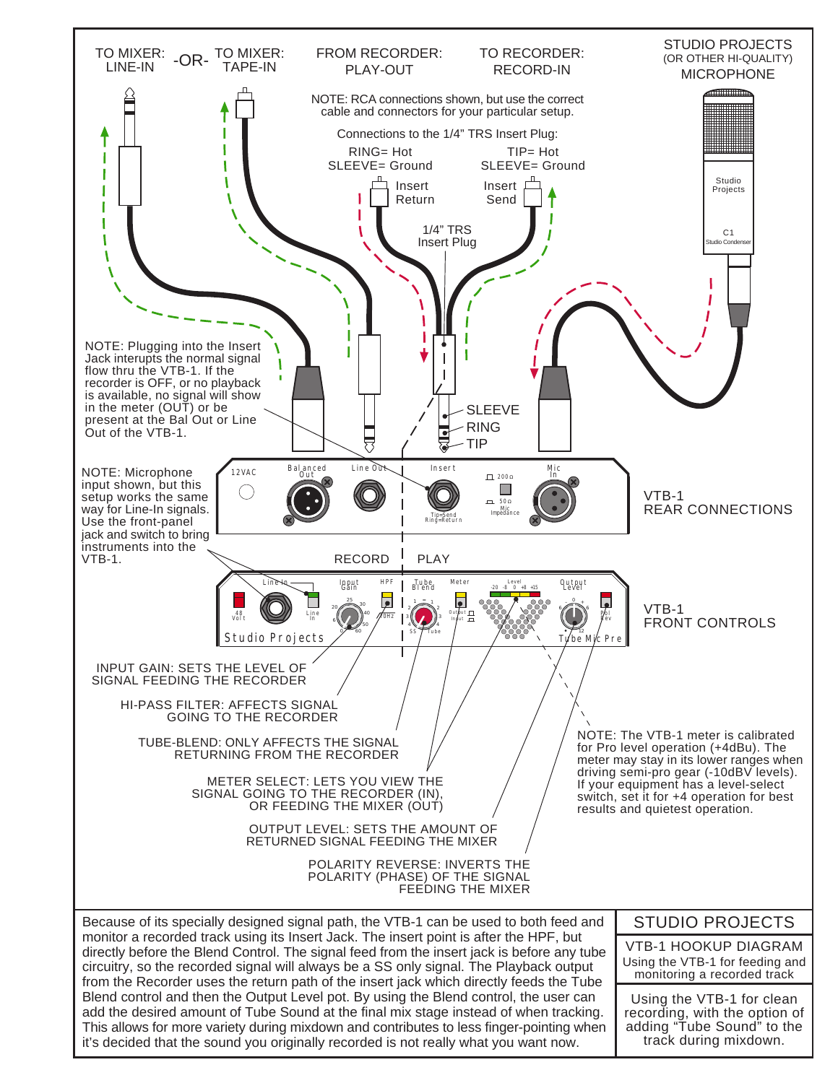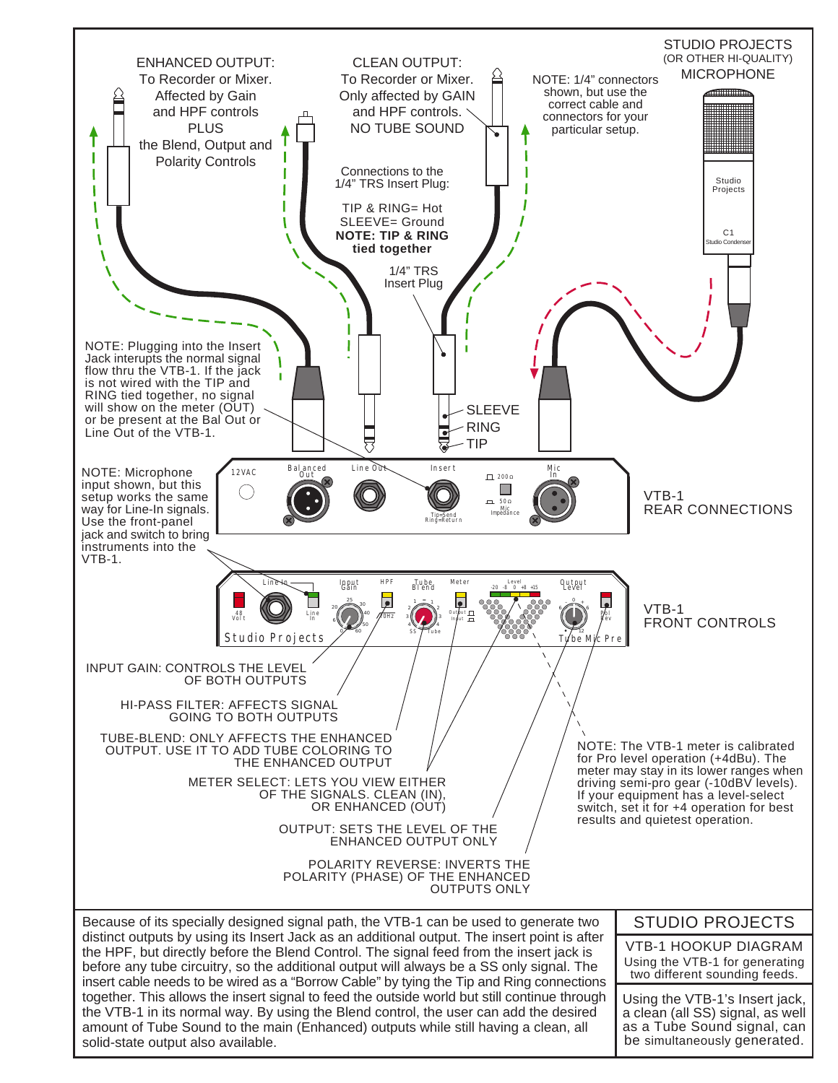